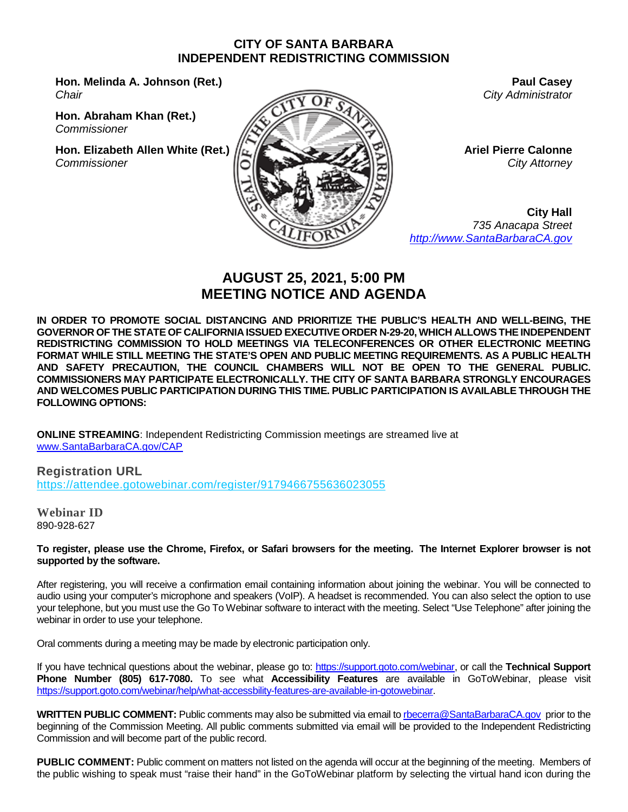#### **CITY OF SANTA BARBARA INDEPENDENT REDISTRICTING COMMISSION**

**Hon. Melinda A. Johnson (Ret.)** *Chair*

**Hon. Abraham Khan (Ret.)** *Commissioner*

**Hon. Elizabeth Allen White (Ret.)** *Commissioner*



**Paul Casey** *City Administrator*

**Ariel Pierre Calonne** *City Attorney*

**City Hall** *735 Anacapa Street [http://www.SantaBarbaraCA.gov](http://www.santabarbaraca.gov/)*

# **AUGUST 25, 2021, 5:00 PM MEETING NOTICE AND AGENDA**

**IN ORDER TO PROMOTE SOCIAL DISTANCING AND PRIORITIZE THE PUBLIC'S HEALTH AND WELL-BEING, THE GOVERNOR OF THE STATE OF CALIFORNIA ISSUED EXECUTIVE ORDER N-29-20, WHICH ALLOWS THE INDEPENDENT REDISTRICTING COMMISSION TO HOLD MEETINGS VIA TELECONFERENCES OR OTHER ELECTRONIC MEETING FORMAT WHILE STILL MEETING THE STATE'S OPEN AND PUBLIC MEETING REQUIREMENTS. AS A PUBLIC HEALTH AND SAFETY PRECAUTION, THE COUNCIL CHAMBERS WILL NOT BE OPEN TO THE GENERAL PUBLIC. COMMISSIONERS MAY PARTICIPATE ELECTRONICALLY. THE CITY OF SANTA BARBARA STRONGLY ENCOURAGES AND WELCOMES PUBLIC PARTICIPATION DURING THIS TIME. PUBLIC PARTICIPATION IS AVAILABLE THROUGH THE FOLLOWING OPTIONS:**

**ONLINE STREAMING**: Independent Redistricting Commission meetings are streamed live at [www.SantaBarbaraCA.gov/CAP](http://www.santabarbaraca.gov/CAP)

**Registration URL** <https://attendee.gotowebinar.com/register/9179466755636023055>

**Webinar ID** 890-928-627

**To register, please use the Chrome, Firefox, or Safari browsers for the meeting. The Internet Explorer browser is not supported by the software.**

After registering, you will receive a confirmation email containing information about joining the webinar. You will be connected to audio using your computer's microphone and speakers (VoIP). A headset is recommended. You can also select the option to use your telephone, but you must use the Go To Webinar software to interact with the meeting. Select "Use Telephone" after joining the webinar in order to use your telephone.

Oral comments during a meeting may be made by electronic participation only.

If you have technical questions about the webinar, please go to: [https://support.goto.com/webinar,](https://support.goto.com/webinar) or call the **Technical Support Phone Number (805) 617-7080.** To see what **Accessibility Features** are available in GoToWebinar, please visit [https://support.goto.com/webinar/help/what-accessbility-features-are-available-in-gotowebinar.](https://support.goto.com/webinar/help/what-accessbility-features-are-available-in-gotowebinar)

**WRITTEN PUBLIC COMMENT:** Public comments may also be submitted via email to [rbecerra@SantaBarbaraCA.gov](mailto:rbecerra@SantaBarbaraCA.gov) prior to the beginning of the Commission Meeting. All public comments submitted via email will be provided to the Independent Redistricting Commission and will become part of the public record.

**PUBLIC COMMENT:** Public comment on matters not listed on the agenda will occur at the beginning of the meeting. Members of the public wishing to speak must "raise their hand" in the GoToWebinar platform by selecting the virtual hand icon during the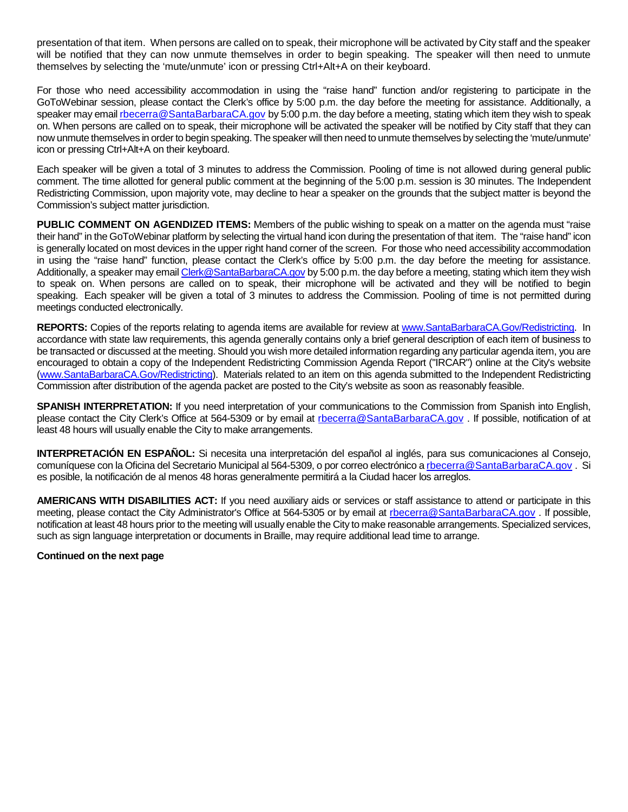presentation of that item. When persons are called on to speak, their microphone will be activated by City staff and the speaker will be notified that they can now unmute themselves in order to begin speaking. The speaker will then need to unmute themselves by selecting the 'mute/unmute' icon or pressing Ctrl+Alt+A on their keyboard.

For those who need accessibility accommodation in using the "raise hand" function and/or registering to participate in the GoToWebinar session, please contact the Clerk's office by 5:00 p.m. the day before the meeting for assistance. Additionally, a speaker may email [rbecerra@SantaBarbaraCA.gov](mailto:rbecerra@SantaBarbaraCA.gov) by 5:00 p.m. the day before a meeting, stating which item they wish to speak on. When persons are called on to speak, their microphone will be activated the speaker will be notified by City staff that they can now unmute themselves in order to begin speaking. The speaker will then need to unmute themselves by selecting the 'mute/unmute' icon or pressing Ctrl+Alt+A on their keyboard.

Each speaker will be given a total of 3 minutes to address the Commission. Pooling of time is not allowed during general public comment. The time allotted for general public comment at the beginning of the 5:00 p.m. session is 30 minutes. The Independent Redistricting Commission, upon majority vote, may decline to hear a speaker on the grounds that the subject matter is beyond the Commission's subject matter jurisdiction.

**PUBLIC COMMENT ON AGENDIZED ITEMS:** Members of the public wishing to speak on a matter on the agenda must "raise their hand" in the GoToWebinar platform by selecting the virtual hand icon during the presentation of that item. The "raise hand" icon is generally located on most devices in the upper right hand corner of the screen. For those who need accessibility accommodation in using the "raise hand" function, please contact the Clerk's office by 5:00 p.m. the day before the meeting for assistance. Additionally, a speaker may email [Clerk@SantaBarbaraCA.gov](mailto:Clerk@SantaBarbaraCA.gov) by 5:00 p.m. the day before a meeting, stating which item they wish to speak on. When persons are called on to speak, their microphone will be activated and they will be notified to begin speaking. Each speaker will be given a total of 3 minutes to address the Commission. Pooling of time is not permitted during meetings conducted electronically.

**REPORTS:** Copies of the reports relating to agenda items are available for review at [www.SantaBarbaraCA.Gov/Redistricting.](http://www.santabarbaraca.gov/Redistricting) In accordance with state law requirements, this agenda generally contains only a brief general description of each item of business to be transacted or discussed at the meeting. Should you wish more detailed information regarding any particular agenda item, you are encouraged to obtain a copy of the Independent Redistricting Commission Agenda Report ("IRCAR") online at the City's website [\(www.SantaBarbaraCA.Gov/Redistricting\)](http://www.santabarbaraca.gov/Redistricting). Materials related to an item on this agenda submitted to the Independent Redistricting Commission after distribution of the agenda packet are posted to the City's website as soon as reasonably feasible.

**SPANISH INTERPRETATION:** If you need interpretation of your communications to the Commission from Spanish into English, please contact the City Clerk's Office at 564-5309 or by email at [rbecerra@SantaBarbaraCA.gov](mailto:rbecerra@SantaBarbaraCA.gov) . If possible, notification of at least 48 hours will usually enable the City to make arrangements.

**INTERPRETACIÓN EN ESPAÑOL:** Si necesita una interpretación del español al inglés, para sus comunicaciones al Consejo, comuníquese con la Oficina del Secretario Municipal al 564-5309, o por correo electrónico a [rbecerra@SantaBarbaraCA.gov](mailto:rbecerra@SantaBarbaraCA.gov) . Si es posible, la notificación de al menos 48 horas generalmente permitirá a la Ciudad hacer los arreglos.

**AMERICANS WITH DISABILITIES ACT:** If you need auxiliary aids or services or staff assistance to attend or participate in this meeting, please contact the City Administrator's Office at 564-5305 or by email at [rbecerra@SantaBarbaraCA.gov](mailto:rbecerra@SantaBarbaraCA.gov) . If possible, notification at least 48 hours prior to the meeting will usually enable the City to make reasonable arrangements. Specialized services, such as sign language interpretation or documents in Braille, may require additional lead time to arrange.

#### **Continued on the next page**